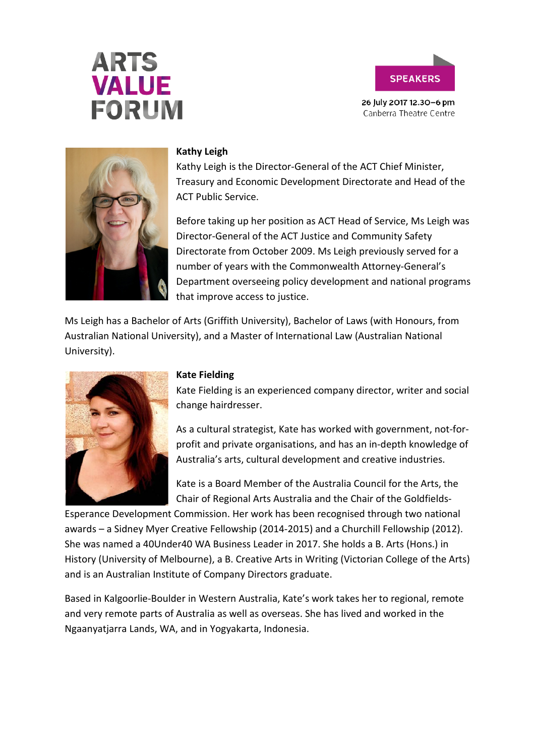# **ARTS VALUE FORUM**



26 July 2017 12.30-6 pm Canberra Theatre Centre



### **Kathy Leigh**

Kathy Leigh is the Director-General of the ACT Chief Minister, Treasury and Economic Development Directorate and Head of the ACT Public Service.

Before taking up her position as ACT Head of Service, Ms Leigh was Director-General of the ACT Justice and Community Safety Directorate from October 2009. Ms Leigh previously served for a number of years with the Commonwealth Attorney-General's Department overseeing policy development and national programs that improve access to justice.

Ms Leigh has a Bachelor of Arts (Griffith University), Bachelor of Laws (with Honours, from Australian National University), and a Master of International Law (Australian National University).



### **Kate Fielding**

Kate Fielding is an experienced company director, writer and social change hairdresser.

As a cultural strategist, Kate has worked with government, not-forprofit and private organisations, and has an in-depth knowledge of Australia's arts, cultural development and creative industries.

Kate is a Board Member of the Australia Council for the Arts, the Chair of Regional Arts Australia and the Chair of the Goldfields-

Esperance Development Commission. Her work has been recognised through two national awards – a Sidney Myer Creative Fellowship (2014-2015) and a Churchill Fellowship (2012). She was named a 40Under40 WA Business Leader in 2017. She holds a B. Arts (Hons.) in History (University of Melbourne), a B. Creative Arts in Writing (Victorian College of the Arts) and is an Australian Institute of Company Directors graduate.

Based in Kalgoorlie-Boulder in Western Australia, Kate's work takes her to regional, remote and very remote parts of Australia as well as overseas. She has lived and worked in the Ngaanyatjarra Lands, WA, and in Yogyakarta, Indonesia.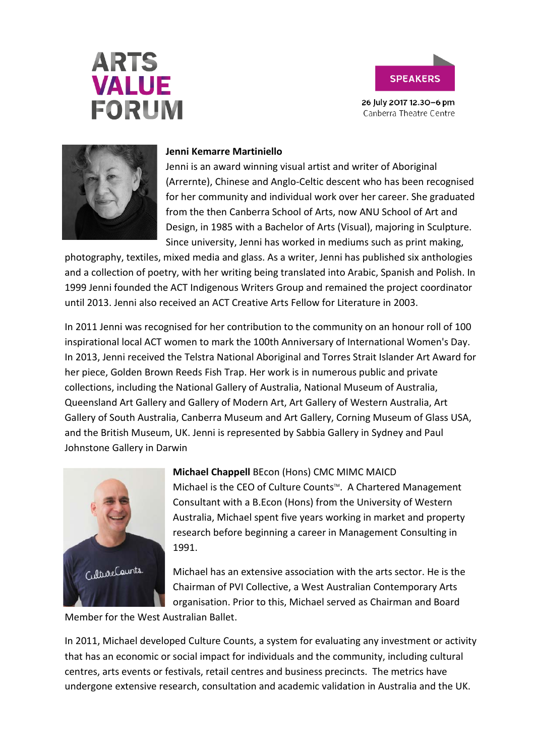# **ARTS VALUE FORUM**



26 July 2017 12.30-6 pm Canberra Theatre Centre



### **Jenni Kemarre Martiniello**

Jenni is an award winning visual artist and writer of Aboriginal (Arrernte), Chinese and Anglo-Celtic descent who has been recognised for her community and individual work over her career. She graduated from the then Canberra School of Arts, now ANU School of Art and Design, in 1985 with a Bachelor of Arts (Visual), majoring in Sculpture. Since university, Jenni has worked in mediums such as print making,

photography, textiles, mixed media and glass. As a writer, Jenni has published six anthologies and a collection of poetry, with her writing being translated into Arabic, Spanish and Polish. In 1999 Jenni founded the ACT Indigenous Writers Group and remained the project coordinator until 2013. Jenni also received an ACT Creative Arts Fellow for Literature in 2003.

In 2011 Jenni was recognised for her contribution to the community on an honour roll of 100 inspirational local ACT women to mark the 100th Anniversary of International Women's Day. In 2013, Jenni received the Telstra National Aboriginal and Torres Strait Islander Art Award for her piece, Golden Brown Reeds Fish Trap. Her work is in numerous public and private collections, including the National Gallery of Australia, National Museum of Australia, Queensland Art Gallery and Gallery of Modern Art, Art Gallery of Western Australia, Art Gallery of South Australia, Canberra Museum and Art Gallery, Corning Museum of Glass USA, and the British Museum, UK. Jenni is represented by Sabbia Gallery in Sydney and Paul Johnstone Gallery in Darwin



# **Michael Chappell** BEcon (Hons) CMC MIMC MAICD

Michael is the CEO of Culture Counts<sup>™</sup>. A Chartered Management Consultant with a B.Econ (Hons) from the University of Western Australia, Michael spent five years working in market and property research before beginning a career in Management Consulting in 1991.

Michael has an extensive association with the arts sector. He is the Chairman of PVI Collective, a West Australian Contemporary Arts organisation. Prior to this, Michael served as Chairman and Board

Member for the West Australian Ballet.

In 2011, Michael developed Culture Counts, a system for evaluating any investment or activity that has an economic or social impact for individuals and the community, including cultural centres, arts events or festivals, retail centres and business precincts. The metrics have undergone extensive research, consultation and academic validation in Australia and the UK.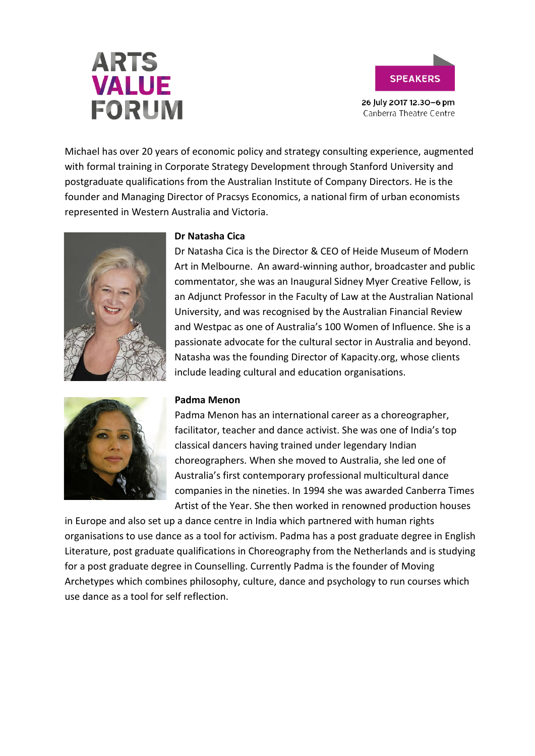# **ARTS VALUE FORUM**



26 July 2017 12.30-6 pm Canberra Theatre Centre

Michael has over 20 years of economic policy and strategy consulting experience, augmented with formal training in Corporate Strategy Development through Stanford University and postgraduate qualifications from the Australian Institute of Company Directors. He is the founder and Managing Director of Pracsys Economics, a national firm of urban economists represented in Western Australia and Victoria.



# **Dr Natasha Cica**

Dr Natasha Cica is the Director & CEO of Heide Museum of Modern Art in Melbourne. An award-winning author, broadcaster and public commentator, she was an Inaugural Sidney Myer Creative Fellow, is an Adjunct Professor in the Faculty of Law at the Australian National University, and was recognised by the Australian Financial Review and Westpac as one of Australia's 100 Women of Influence. She is a passionate advocate for the cultural sector in Australia and beyond. Natasha was the founding Director of Kapacity.org, whose clients include leading cultural and education organisations.



Padma Menon has an international career as a choreographer, facilitator, teacher and dance activist. She was one of India's top classical dancers having trained under legendary Indian choreographers. When she moved to Australia, she led one of Australia's first contemporary professional multicultural dance companies in the nineties. In 1994 she was awarded Canberra Times Artist of the Year. She then worked in renowned production houses

in Europe and also set up a dance centre in India which partnered with human rights organisations to use dance as a tool for activism. Padma has a post graduate degree in English Literature, post graduate qualifications in Choreography from the Netherlands and is studying for a post graduate degree in Counselling. Currently Padma is the founder of Moving Archetypes which combines philosophy, culture, dance and psychology to run courses which use dance as a tool for self reflection.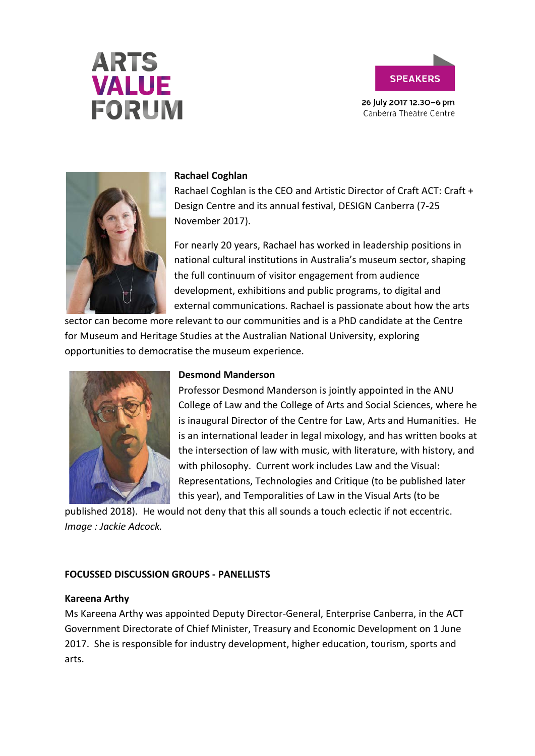





#### **Rachael Coghlan**

Rachael Coghlan is the CEO and Artistic Director of Craft ACT: Craft + Design Centre and its annual festival, DESIGN Canberra (7-25 November 2017).

For nearly 20 years, Rachael has worked in leadership positions in national cultural institutions in Australia's museum sector, shaping the full continuum of visitor engagement from audience development, exhibitions and public programs, to digital and external communications. Rachael is passionate about how the arts

sector can become more relevant to our communities and is a PhD candidate at the Centre for Museum and Heritage Studies at the Australian National University, exploring opportunities to democratise the museum experience.



#### **Desmond Manderson**

Professor Desmond Manderson is jointly appointed in the ANU College of Law and the College of Arts and Social Sciences, where he is inaugural Director of the Centre for Law, Arts and Humanities. He is an international leader in legal mixology, and has written books at the intersection of law with music, with literature, with history, and with philosophy. Current work includes Law and the Visual: Representations, Technologies and Critique (to be published later this year), and Temporalities of Law in the Visual Arts (to be

published 2018). He would not deny that this all sounds a touch eclectic if not eccentric. *Image : Jackie Adcock.*

#### **FOCUSSED DISCUSSION GROUPS - PANELLISTS**

#### **Kareena Arthy**

Ms Kareena Arthy was appointed Deputy Director-General, Enterprise Canberra, in the ACT Government Directorate of Chief Minister, Treasury and Economic Development on 1 June 2017. She is responsible for industry development, higher education, tourism, sports and arts.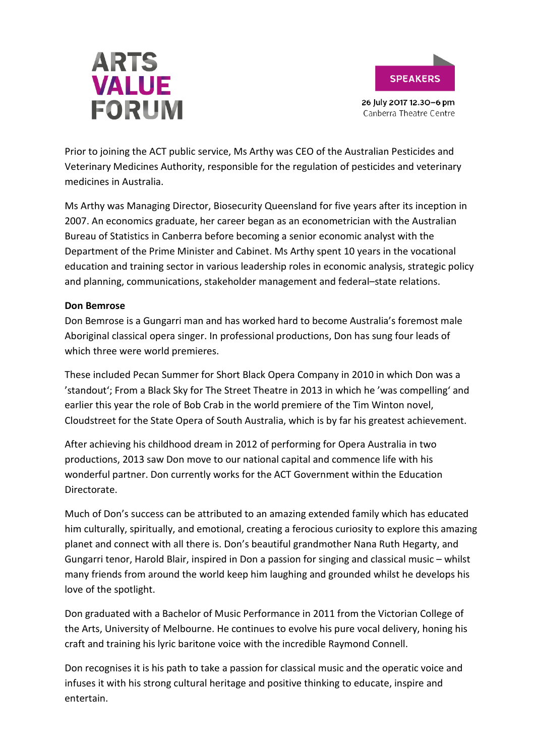



Prior to joining the ACT public service, Ms Arthy was CEO of the Australian Pesticides and Veterinary Medicines Authority, responsible for the regulation of pesticides and veterinary medicines in Australia.

Ms Arthy was Managing Director, Biosecurity Queensland for five years after its inception in 2007. An economics graduate, her career began as an econometrician with the Australian Bureau of Statistics in Canberra before becoming a senior economic analyst with the Department of the Prime Minister and Cabinet. Ms Arthy spent 10 years in the vocational education and training sector in various leadership roles in economic analysis, strategic policy and planning, communications, stakeholder management and federal–state relations.

#### **Don Bemrose**

Don Bemrose is a Gungarri man and has worked hard to become Australia's foremost male Aboriginal classical opera singer. In professional productions, Don has sung four leads of which three were world premieres.

These included Pecan Summer for Short Black Opera Company in 2010 in which Don was a 'standout'; From a Black Sky for The Street Theatre in 2013 in which he 'was compelling' and earlier this year the role of Bob Crab in the world premiere of the Tim Winton novel, Cloudstreet for the State Opera of South Australia, which is by far his greatest achievement.

After achieving his childhood dream in 2012 of performing for Opera Australia in two productions, 2013 saw Don move to our national capital and commence life with his wonderful partner. Don currently works for the ACT Government within the Education Directorate.

Much of Don's success can be attributed to an amazing extended family which has educated him culturally, spiritually, and emotional, creating a ferocious curiosity to explore this amazing planet and connect with all there is. Don's beautiful grandmother Nana Ruth Hegarty, and Gungarri tenor, Harold Blair, inspired in Don a passion for singing and classical music – whilst many friends from around the world keep him laughing and grounded whilst he develops his love of the spotlight.

Don graduated with a Bachelor of Music Performance in 2011 from the Victorian College of the Arts, University of Melbourne. He continues to evolve his pure vocal delivery, honing his craft and training his lyric baritone voice with the incredible Raymond Connell.

Don recognises it is his path to take a passion for classical music and the operatic voice and infuses it with his strong cultural heritage and positive thinking to educate, inspire and entertain.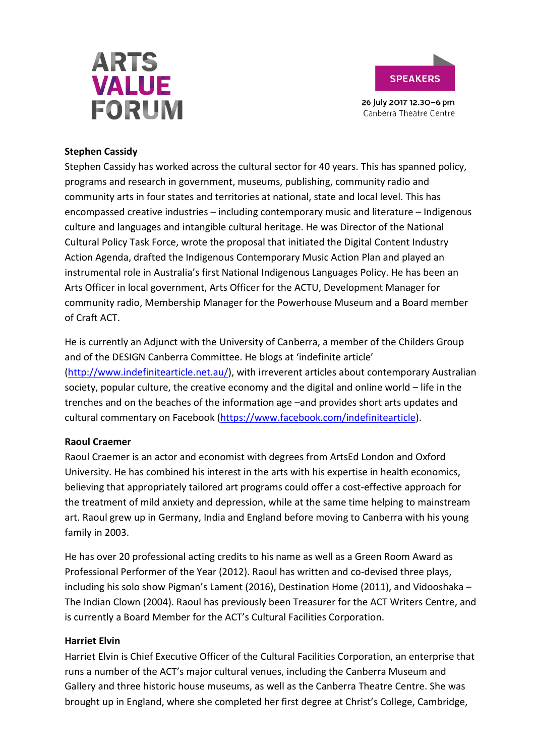



### **Stephen Cassidy**

Stephen Cassidy has worked across the cultural sector for 40 years. This has spanned policy, programs and research in government, museums, publishing, community radio and community arts in four states and territories at national, state and local level. This has encompassed creative industries – including contemporary music and literature – Indigenous culture and languages and intangible cultural heritage. He was Director of the National Cultural Policy Task Force, wrote the proposal that initiated the Digital Content Industry Action Agenda, drafted the Indigenous Contemporary Music Action Plan and played an instrumental role in Australia's first National Indigenous Languages Policy. He has been an Arts Officer in local government, Arts Officer for the ACTU, Development Manager for community radio, Membership Manager for the Powerhouse Museum and a Board member of Craft ACT.

He is currently an Adjunct with the University of Canberra, a member of the Childers Group and of the DESIGN Canberra Committee. He blogs at 'indefinite article' [\(http://www.indefinitearticle.net.au/\)](http://www.indefinitearticle.net.au/), with irreverent articles about contemporary Australian society, popular culture, the creative economy and the digital and online world – life in the trenches and on the beaches of the information age –and provides short arts updates and cultural commentary on Facebook [\(https://www.facebook.com/indefinitearticle\)](https://www.facebook.com/indefinitearticle).

# **Raoul Craemer**

Raoul Craemer is an actor and economist with degrees from ArtsEd London and Oxford University. He has combined his interest in the arts with his expertise in health economics, believing that appropriately tailored art programs could offer a cost-effective approach for the treatment of mild anxiety and depression, while at the same time helping to mainstream art. Raoul grew up in Germany, India and England before moving to Canberra with his young family in 2003.

He has over 20 professional acting credits to his name as well as a Green Room Award as Professional Performer of the Year (2012). Raoul has written and co-devised three plays, including his solo show Pigman's Lament (2016), Destination Home (2011), and Vidooshaka – The Indian Clown (2004). Raoul has previously been Treasurer for the ACT Writers Centre, and is currently a Board Member for the ACT's Cultural Facilities Corporation.

#### **Harriet Elvin**

Harriet Elvin is Chief Executive Officer of the Cultural Facilities Corporation, an enterprise that runs a number of the ACT's major cultural venues, including the Canberra Museum and Gallery and three historic house museums, as well as the Canberra Theatre Centre. She was brought up in England, where she completed her first degree at Christ's College, Cambridge,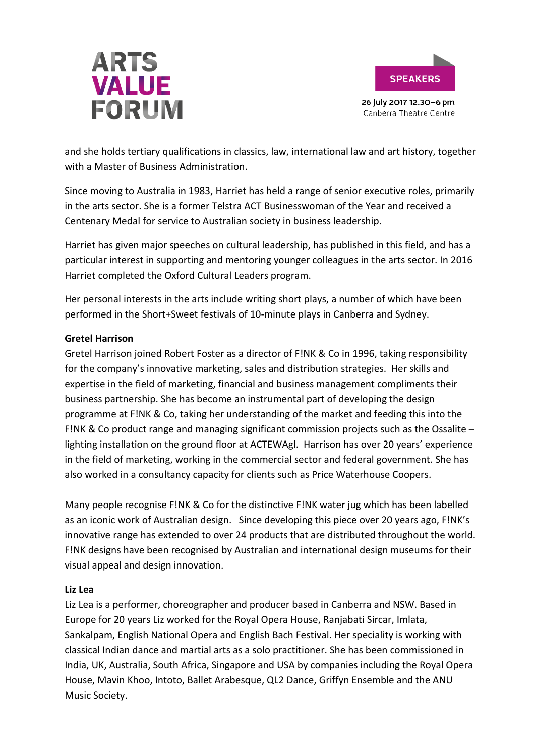



and she holds tertiary qualifications in classics, law, international law and art history, together with a Master of Business Administration.

Since moving to Australia in 1983, Harriet has held a range of senior executive roles, primarily in the arts sector. She is a former Telstra ACT Businesswoman of the Year and received a Centenary Medal for service to Australian society in business leadership.

Harriet has given major speeches on cultural leadership, has published in this field, and has a particular interest in supporting and mentoring younger colleagues in the arts sector. In 2016 Harriet completed the Oxford Cultural Leaders program.

Her personal interests in the arts include writing short plays, a number of which have been performed in the Short+Sweet festivals of 10-minute plays in Canberra and Sydney.

# **Gretel Harrison**

Gretel Harrison joined Robert Foster as a director of F!NK & Co in 1996, taking responsibility for the company's innovative marketing, sales and distribution strategies. Her skills and expertise in the field of marketing, financial and business management compliments their business partnership. She has become an instrumental part of developing the design programme at F!NK & Co, taking her understanding of the market and feeding this into the F!NK & Co product range and managing significant commission projects such as the Ossalite – lighting installation on the ground floor at ACTEWAgl. Harrison has over 20 years' experience in the field of marketing, working in the commercial sector and federal government. She has also worked in a consultancy capacity for clients such as Price Waterhouse Coopers.

Many people recognise F!NK & Co for the distinctive F!NK water jug which has been labelled as an iconic work of Australian design. Since developing this piece over 20 years ago, F!NK's innovative range has extended to over 24 products that are distributed throughout the world. F!NK designs have been recognised by Australian and international design museums for their visual appeal and design innovation.

# **Liz Lea**

Liz Lea is a performer, choreographer and producer based in Canberra and NSW. Based in Europe for 20 years Liz worked for the Royal Opera House, Ranjabati Sircar, Imlata, Sankalpam, English National Opera and English Bach Festival. Her speciality is working with classical Indian dance and martial arts as a solo practitioner. She has been commissioned in India, UK, Australia, South Africa, Singapore and USA by companies including the Royal Opera House, Mavin Khoo, Intoto, Ballet Arabesque, QL2 Dance, Griffyn Ensemble and the ANU Music Society.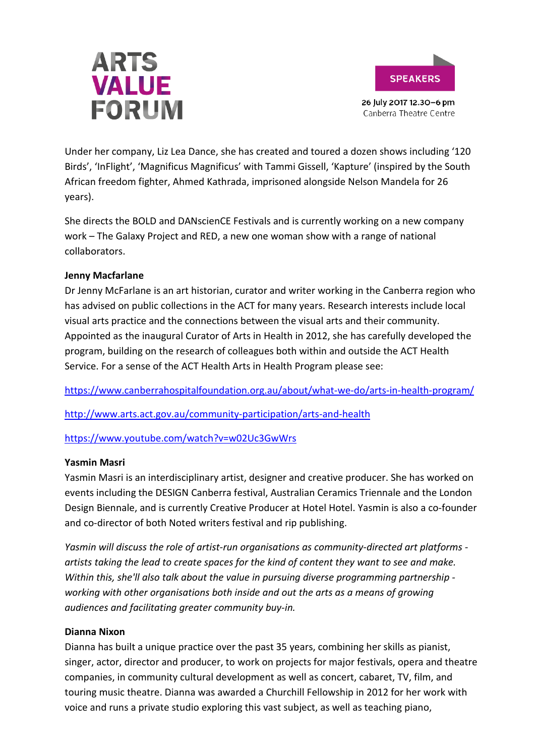



Under her company, Liz Lea Dance, she has created and toured a dozen shows including '120 Birds', 'InFlight', 'Magnificus Magnificus' with Tammi Gissell, 'Kapture' (inspired by the South African freedom fighter, Ahmed Kathrada, imprisoned alongside Nelson Mandela for 26 years).

She directs the BOLD and DANscienCE Festivals and is currently working on a new company work – The Galaxy Project and RED, a new one woman show with a range of national collaborators.

# **Jenny Macfarlane**

Dr Jenny McFarlane is an art historian, curator and writer working in the Canberra region who has advised on public collections in the ACT for many years. Research interests include local visual arts practice and the connections between the visual arts and their community. Appointed as the inaugural Curator of Arts in Health in 2012, she has carefully developed the program, building on the research of colleagues both within and outside the ACT Health Service. For a sense of the ACT Health Arts in Health Program please see:

<https://www.canberrahospitalfoundation.org.au/about/what-we-do/arts-in-health-program/>

<http://www.arts.act.gov.au/community-participation/arts-and-health>

<https://www.youtube.com/watch?v=w02Uc3GwWrs>

# **Yasmin Masri**

Yasmin Masri is an interdisciplinary artist, designer and creative producer. She has worked on events including the DESIGN Canberra festival, Australian Ceramics Triennale and the London Design Biennale, and is currently Creative Producer at Hotel Hotel. Yasmin is also a co-founder and co-director of both Noted writers festival and rip publishing.

*Yasmin will discuss the role of artist-run organisations as community-directed art platforms artists taking the lead to create spaces for the kind of content they want to see and make. Within this, she'll also talk about the value in pursuing diverse programming partnership working with other organisations both inside and out the arts as a means of growing audiences and facilitating greater community buy-in.*

# **Dianna Nixon**

Dianna has built a unique practice over the past 35 years, combining her skills as pianist, singer, actor, director and producer, to work on projects for major festivals, opera and theatre companies, in community cultural development as well as concert, cabaret, TV, film, and touring music theatre. Dianna was awarded a Churchill Fellowship in 2012 for her work with voice and runs a private studio exploring this vast subject, as well as teaching piano,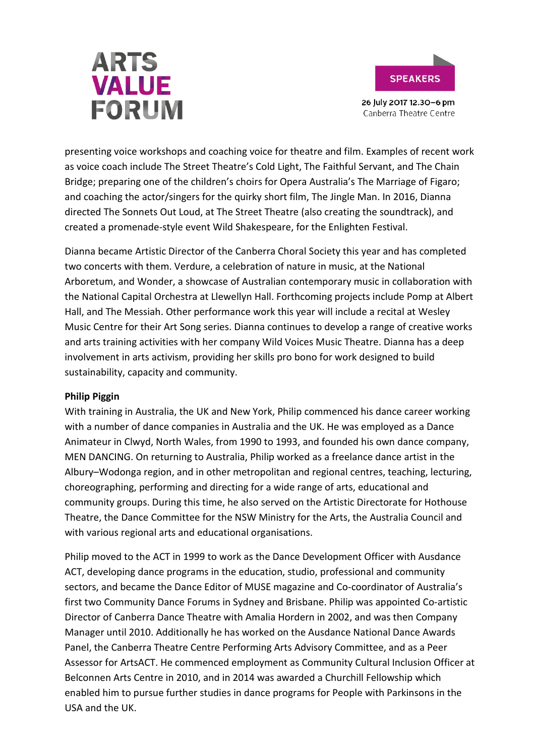



presenting voice workshops and coaching voice for theatre and film. Examples of recent work as voice coach include The Street Theatre's Cold Light, The Faithful Servant, and The Chain Bridge; preparing one of the children's choirs for Opera Australia's The Marriage of Figaro; and coaching the actor/singers for the quirky short film, The Jingle Man. In 2016, Dianna directed The Sonnets Out Loud, at The Street Theatre (also creating the soundtrack), and created a promenade-style event Wild Shakespeare, for the Enlighten Festival.

Dianna became Artistic Director of the Canberra Choral Society this year and has completed two concerts with them. Verdure, a celebration of nature in music, at the National Arboretum, and Wonder, a showcase of Australian contemporary music in collaboration with the National Capital Orchestra at Llewellyn Hall. Forthcoming projects include Pomp at Albert Hall, and The Messiah. Other performance work this year will include a recital at Wesley Music Centre for their Art Song series. Dianna continues to develop a range of creative works and arts training activities with her company Wild Voices Music Theatre. Dianna has a deep involvement in arts activism, providing her skills pro bono for work designed to build sustainability, capacity and community.

#### **Philip Piggin**

With training in Australia, the UK and New York, Philip commenced his dance career working with a number of dance companies in Australia and the UK. He was employed as a Dance Animateur in Clwyd, North Wales, from 1990 to 1993, and founded his own dance company, MEN DANCING. On returning to Australia, Philip worked as a freelance dance artist in the Albury–Wodonga region, and in other metropolitan and regional centres, teaching, lecturing, choreographing, performing and directing for a wide range of arts, educational and community groups. During this time, he also served on the Artistic Directorate for Hothouse Theatre, the Dance Committee for the NSW Ministry for the Arts, the Australia Council and with various regional arts and educational organisations.

Philip moved to the ACT in 1999 to work as the Dance Development Officer with Ausdance ACT, developing dance programs in the education, studio, professional and community sectors, and became the Dance Editor of MUSE magazine and Co-coordinator of Australia's first two Community Dance Forums in Sydney and Brisbane. Philip was appointed Co-artistic Director of Canberra Dance Theatre with Amalia Hordern in 2002, and was then Company Manager until 2010. Additionally he has worked on the Ausdance National Dance Awards Panel, the Canberra Theatre Centre Performing Arts Advisory Committee, and as a Peer Assessor for ArtsACT. He commenced employment as Community Cultural Inclusion Officer at Belconnen Arts Centre in 2010, and in 2014 was awarded a Churchill Fellowship which enabled him to pursue further studies in dance programs for People with Parkinsons in the USA and the UK.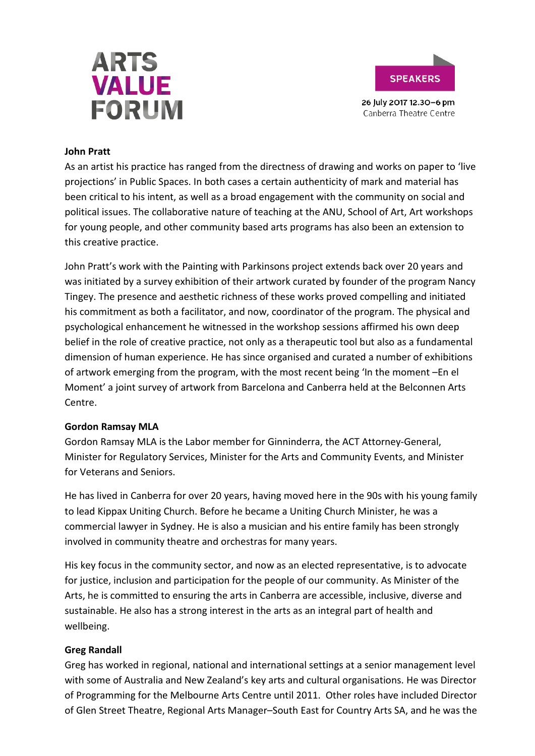



#### **John Pratt**

As an artist his practice has ranged from the directness of drawing and works on paper to 'live projections' in Public Spaces. In both cases a certain authenticity of mark and material has been critical to his intent, as well as a broad engagement with the community on social and political issues. The collaborative nature of teaching at the ANU, School of Art, Art workshops for young people, and other community based arts programs has also been an extension to this creative practice.

John Pratt's work with the Painting with Parkinsons project extends back over 20 years and was initiated by a survey exhibition of their artwork curated by founder of the program Nancy Tingey. The presence and aesthetic richness of these works proved compelling and initiated his commitment as both a facilitator, and now, coordinator of the program. The physical and psychological enhancement he witnessed in the workshop sessions affirmed his own deep belief in the role of creative practice, not only as a therapeutic tool but also as a fundamental dimension of human experience. He has since organised and curated a number of exhibitions of artwork emerging from the program, with the most recent being 'In the moment –En el Moment' a joint survey of artwork from Barcelona and Canberra held at the Belconnen Arts Centre.

#### **Gordon Ramsay MLA**

Gordon Ramsay MLA is the Labor member for Ginninderra, the ACT Attorney-General, Minister for Regulatory Services, Minister for the Arts and Community Events, and Minister for Veterans and Seniors.

He has lived in Canberra for over 20 years, having moved here in the 90s with his young family to lead Kippax Uniting Church. Before he became a Uniting Church Minister, he was a commercial lawyer in Sydney. He is also a musician and his entire family has been strongly involved in community theatre and orchestras for many years.

His key focus in the community sector, and now as an elected representative, is to advocate for justice, inclusion and participation for the people of our community. As Minister of the Arts, he is committed to ensuring the arts in Canberra are accessible, inclusive, diverse and sustainable. He also has a strong interest in the arts as an integral part of health and wellbeing.

# **Greg Randall**

Greg has worked in regional, national and international settings at a senior management level with some of Australia and New Zealand's key arts and cultural organisations. He was Director of Programming for the Melbourne Arts Centre until 2011. Other roles have included Director of Glen Street Theatre, Regional Arts Manager–South East for Country Arts SA, and he was the